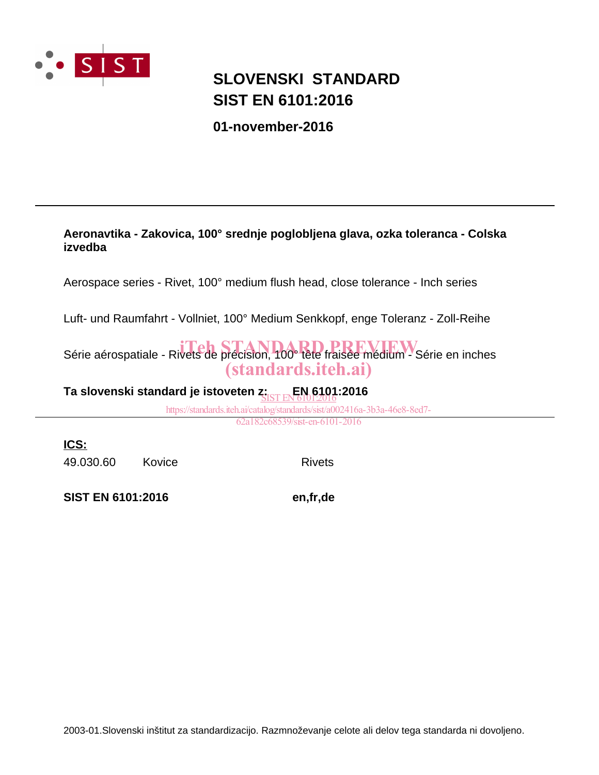

## **SIST EN 6101:2016 SLOVENSKI STANDARD**

**01-november-2016**



49.030.60 Kovice Rivets

**SIST EN 6101:2016 en,fr,de**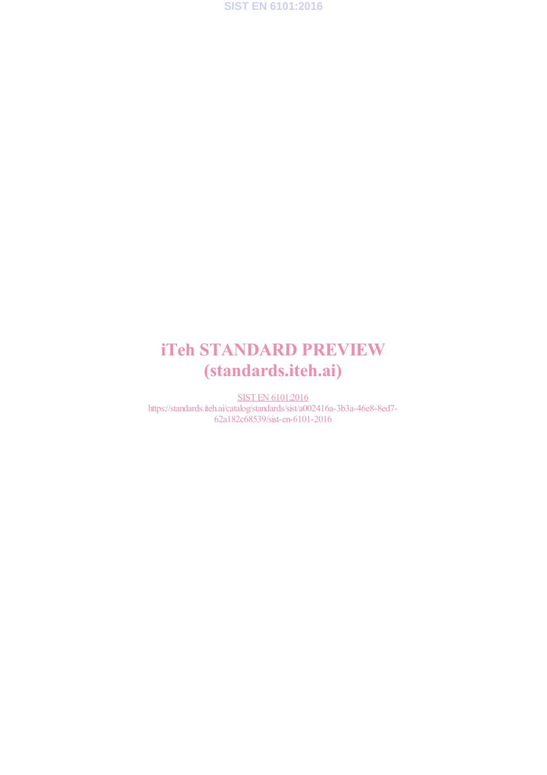

## iTeh STANDARD PREVIEW (standards.iteh.ai)

SIST EN 6101:2016 https://standards.iteh.ai/catalog/standards/sist/a002416a-3b3a-46e8-8ed7- 62a182c68539/sist-en-6101-2016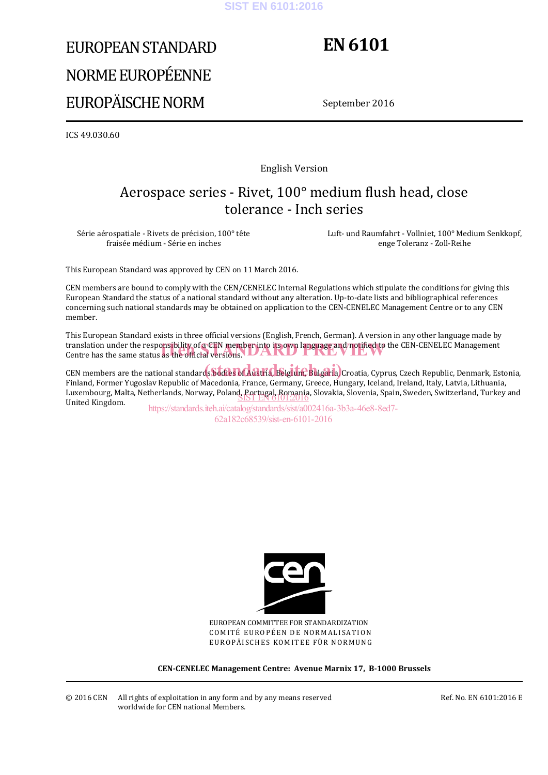#### **SIST EN 6101:2016**

# EUROPEAN STANDARD NORME EUROPÉENNE EUROPÄISCHE NORM

## **EN 6101**

September 2016

ICS 49.030.60

English Version

### Aerospace series - Rivet, 100° medium flush head, close tolerance - Inch series

Série aérospatiale - Rivets de précision, 100° tête fraisée médium - Série en inches

 Luft- und Raumfahrt - Vollniet, 100° Medium Senkkopf, enge Toleranz - Zoll-Reihe

This European Standard was approved by CEN on 11 March 2016.

CEN members are bound to comply with the CEN/CENELEC Internal Regulations which stipulate the conditions for giving this European Standard the status of a national standard without any alteration. Up-to-date lists and bibliographical references concerning such national standards may be obtained on application to the CEN-CENELEC Management Centre or to any CEN member.

This European Standard exists in three official versions (English, French, German). A version in any other language made by translation under the responsibility of a CEN member into its own language and notified to the CEN-CENELEC Management<br>Centre has the same status as the official versions. Centre has the same status as the official versions. **UARD** 

CEN members are the national standards bodies of Austria, Belgium, Bulgaria, Croatia, Cyprus, Czech Republic, Denmark, Estonia, Finland, Former Yugoslav Republic of Macedonia, France, Germany, Greece, Hungary, Iceland, Ireland, Italy, Latvia, Lithuania, Luxembourg, Malta, Netherlands, Norway, Poland, Portugal, Romania, Slovakia, Slovenia, Spain, Sweden, Switzerland, Turkey and<br>United Kingdom United Kingdom.

https://standards.iteh.ai/catalog/standards/sist/a002416a-3b3a-46e8-8ed7- 62a182c68539/sist-en-6101-2016



EUROPEAN COMMITTEE FOR STANDARDIZATION COMITÉ EUROPÉEN DE NORMALISATION EUROPÄISCHES KOMITEE FÜR NORMUNG

**CEN-CENELEC Management Centre: Avenue Marnix 17, B-1000 Brussels**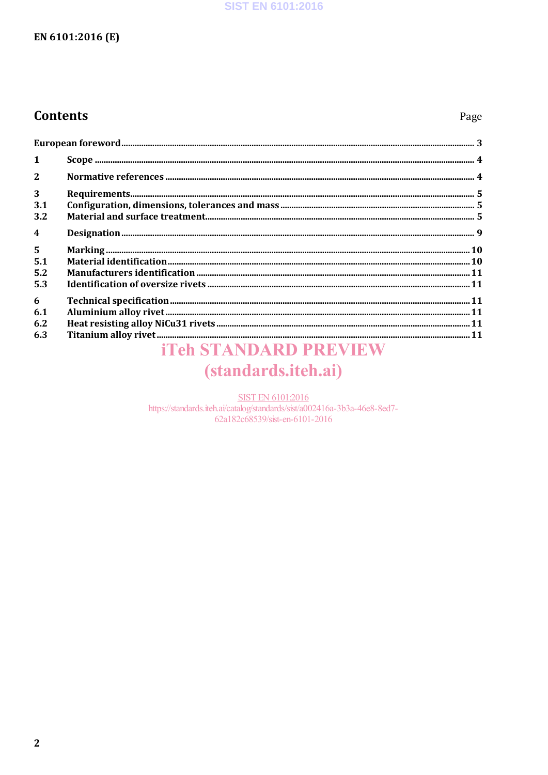#### **SIST EN 6101:2016**

### EN 6101:2016 (E)

### **Contents**

| $\mathbf{1}$          |  |
|-----------------------|--|
| $\overline{2}$        |  |
| 3<br>3.1              |  |
| 3.2                   |  |
| $\boldsymbol{4}$      |  |
| 5 <sup>5</sup><br>5.1 |  |
| 5.2<br>5.3            |  |
| 6<br>6.1              |  |
| 6.2<br>6.3            |  |

## **iTeh STANDARD PREVIEW** (standards.iteh.ai)

**SIST EN 6101:2016** 

https://standards.iteh.ai/catalog/standards/sist/a002416a-3b3a-46e8-8ed7-62a182c68539/sist-en-6101-2016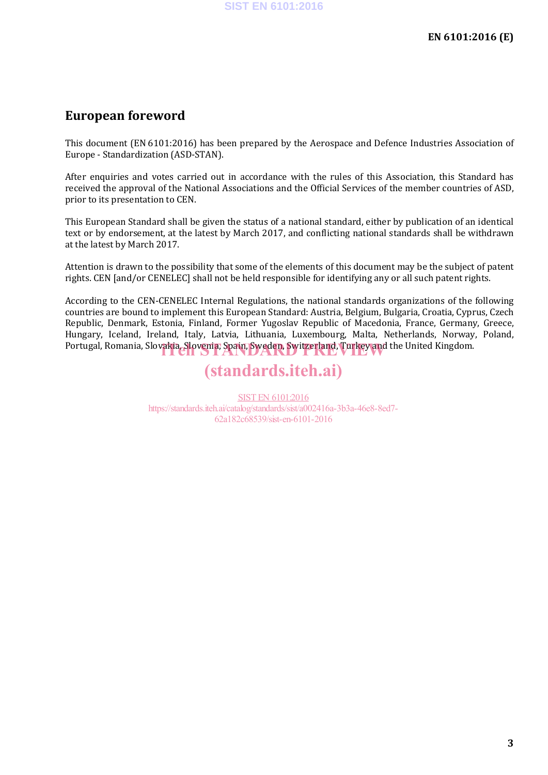### **European foreword**

This document (EN 6101:2016) has been prepared by the Aerospace and Defence Industries Association of Europe - Standardization (ASD-STAN).

After enquiries and votes carried out in accordance with the rules of this Association, this Standard has received the approval of the National Associations and the Official Services of the member countries of ASD, prior to its presentation to CEN.

This European Standard shall be given the status of a national standard, either by publication of an identical text or by endorsement, at the latest by March 2017, and conflicting national standards shall be withdrawn at the latest by March 2017.

Attention is drawn to the possibility that some of the elements of this document may be the subject of patent rights. CEN [and/or CENELEC] shall not be held responsible for identifying any or all such patent rights.

According to the CEN-CENELEC Internal Regulations, the national standards organizations of the following countries are bound to implement this European Standard: Austria, Belgium, Bulgaria, Croatia, Cyprus, Czech Republic, Denmark, Estonia, Finland, Former Yugoslav Republic of Macedonia, France, Germany, Greece, Hungary, Iceland, Ireland, Italy, Latvia, Lithuania, Luxembourg, Malta, Netherlands, Norway, Poland, Portugal, Romania, Slovakia, Slovenia, Spain, Sweden, Switzerland, Turkey and the United Kingdom.<br>.

## (standards.iteh.ai)

SIST EN 6101:2016 https://standards.iteh.ai/catalog/standards/sist/a002416a-3b3a-46e8-8ed7- 62a182c68539/sist-en-6101-2016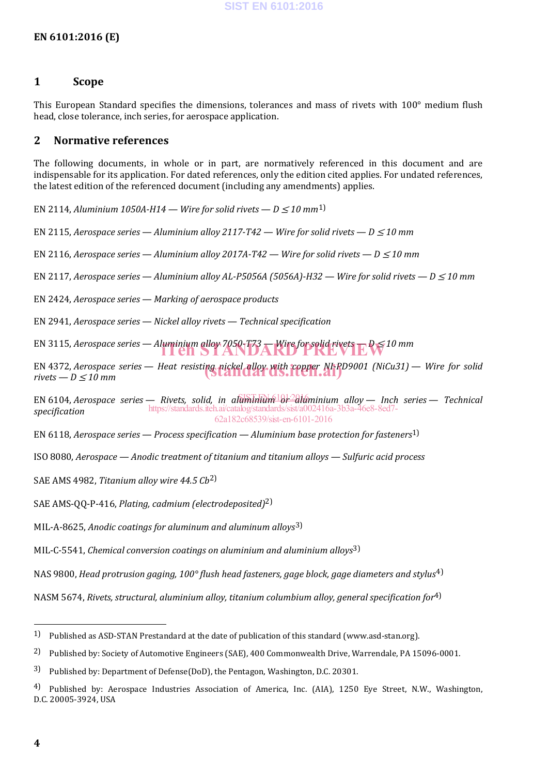#### **1 Scope**

This European Standard specifies the dimensions, tolerances and mass of rivets with 100° medium flush head, close tolerance, inch series, for aerospace application.

#### **2 Normative references**

The following documents, in whole or in part, are normatively referenced in this document and are indispensable for its application. For dated references, only the edition cited applies. For undated references, the latest edition of the referenced document (including any amendments) applies.

EN 2114, Aluminium 1050A-H14 — Wire for solid rivets —  $D \le 10$  mm<sup>1)</sup>

EN 2115, *Aerospace series — Aluminium alloy 2117-T42 — Wire for solid rivets — D* <sup>≤</sup> *10 mm*

EN 2116, *Aerospace series — Aluminium alloy 2017A-T42 — Wire for solid rivets — D* <sup>≤</sup> *10 mm*

EN 2117, *Aerospace series — Aluminium alloy AL-P5056A (5056A)-H32 — Wire for solid rivets — D* <sup>≤</sup> *10 mm*

EN 2424, *Aerospace series — Marking of aerospace products*

EN 2941, *Aerospace series — Nickel alloy rivets — Technical specification*

EN 3115, *Aerospace series — Aluminium alloy 7050-T73 — Wire for solid rivets — D* <sup>≤</sup> *10 mm* iTeh STANDARD PREVIEW

EN 4372, *Aerospace series* — *Heat resisting nickel alloy with copper NI-PD9001 (NiCu31)* — *Wire for solid*<br>rivets — D ≤ 10 mm  $rivets - D \leq 10$  *mm* 

EN 6104, *Aerospace series* — *Rivets, solid, in al<del>uminium 01.</del> alumnium alloy — Inch series — Technical specification* https://standards.iteh.ai/catalog/standards/sist/a002416a-3b3a-46e8-8ed7- 62a182c68539/sist-en-6101-2016

EN 6118, *Aerospace series* — *Process specification — Aluminium base protection for fasteners*1)

ISO 8080, *Aerospace — Anodic treatment of titanium and titanium alloys — Sulfuric acid process*

SAE AMS 4982, *Titanium alloy wire 44.5 Cb*2)

SAE AMS-QQ-P-416, *Plating, cadmium (electrodeposited)*2)

MIL-A-8625, *Anodic coatings for aluminum and aluminum alloys*3)

MIL-C-5541, *Chemical conversion coatings on aluminium and aluminium alloys*3)

NAS 9800, *Head protrusion gaging, 100° flush head fasteners, gage block, gage diameters and stylus*4)

NASM 5674, *Rivets, structural, aluminium alloy, titanium columbium alloy, general specification for*4)

<sup>&</sup>lt;sup>1</sup>) Published as ASD-STAN Prestandard at the date of publication of this standard (www.asd-stan.org).

<sup>2)</sup> Published by: Society of Automotive Engineers (SAE), 400 Commonwealth Drive, Warrendale, PA 15096-0001.

<sup>3)</sup> Published by: Department of Defense(DoD), the Pentagon, Washington, D.C. 20301.

<sup>4)</sup> Published by: Aerospace Industries Association of America, Inc. (AIA), 1250 Eye Street, N.W., Washington, D.C. 20005-3924, USA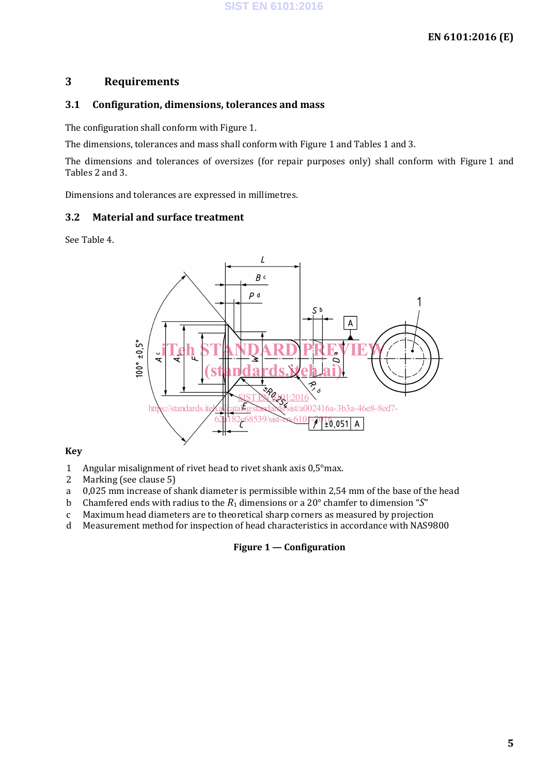#### **3 Requirements**

#### **3.1 Configuration, dimensions, tolerances and mass**

The configuration shall conform with Figure 1.

The dimensions, tolerances and mass shall conform with Figure 1 and Tables 1 and 3.

The dimensions and tolerances of oversizes (for repair purposes only) shall conform with Figure 1 and Tables 2 and 3.

Dimensions and tolerances are expressed in millimetres.

#### **3.2 Material and surface treatment**

See Table 4.



#### **Key**

- 1 Angular misalignment of rivet head to rivet shank axis 0,5°max.<br>2 Marking (see clause 5)
- 2 Marking (see clause 5)<br>a 0.025 mm increase of s
- 0,025 mm increase of shank diameter is permissible within 2,54 mm of the base of the head
- b Chamfered ends with radius to the *R*<sup>1</sup> dimensions or a 20° chamfer to dimension "*S*"
- c Maximum head diameters are to theoretical sharp corners as measured by projection
- d Measurement method for inspection of head characteristics in accordance with NAS9800

#### **Figure 1 — Configuration**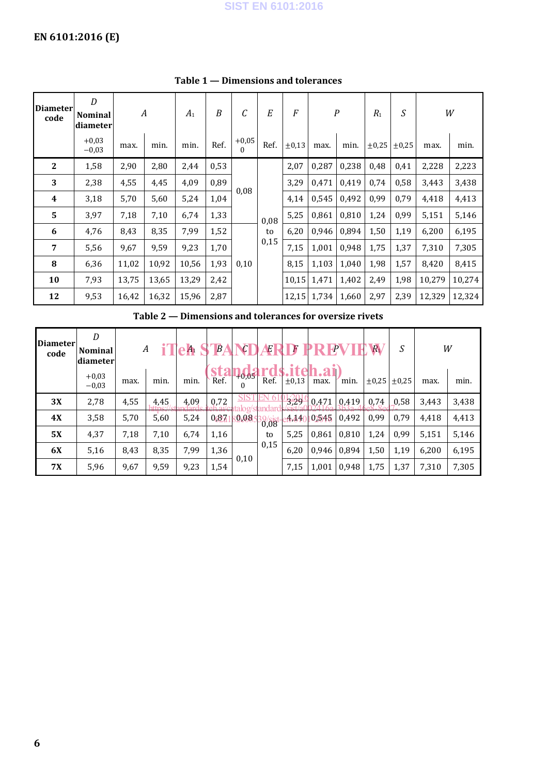#### **SIST EN 6101:2016**

### **EN 6101:2016 (E)**

| <b>Diameter</b><br>code | D<br><b>Nominal</b><br>diameter | A     |       | $A_1$ | B    | C                   | E                  | $\cal F$   | $\cal P$ |       | $R_1$      | S          | W      |        |       |
|-------------------------|---------------------------------|-------|-------|-------|------|---------------------|--------------------|------------|----------|-------|------------|------------|--------|--------|-------|
|                         | $+0.03$<br>$-0,03$              | max.  | min.  | min.  | Ref. | $+0,05$<br>$\Omega$ | Ref.               | $\pm 0.13$ | max.     | min.  | $\pm 0.25$ | $\pm 0.25$ | max.   | min.   |       |
| 2                       | 1,58                            | 2,90  | 2,80  | 2,44  | 0,53 | 0,08                |                    |            | 2,07     | 0,287 | 0,238      | 0,48       | 0,41   | 2,228  | 2,223 |
| 3                       | 2,38                            | 4,55  | 4,45  | 4,09  | 0,89 |                     |                    | 3,29       | 0,471    | 0,419 | 0,74       | 0,58       | 3,443  | 3,438  |       |
| 4                       | 3,18                            | 5,70  | 5,60  | 5,24  | 1,04 |                     | 0,08<br>to<br>0,15 | 4,14       | 0,545    | 0,492 | 0,99       | 0,79       | 4,418  | 4,413  |       |
| 5                       | 3,97                            | 7,18  | 7,10  | 6,74  | 1,33 |                     |                    | 5,25       | 0,861    | 0,810 | 1,24       | 0,99       | 5,151  | 5,146  |       |
| 6                       | 4,76                            | 8,43  | 8,35  | 7,99  | 1,52 |                     |                    | 6,20       | 0,946    | 0,894 | 1,50       | 1,19       | 6,200  | 6,195  |       |
| 7                       | 5,56                            | 9,67  | 9,59  | 9,23  | 1,70 |                     |                    | 7,15       | 1,001    | 0,948 | 1,75       | 1,37       | 7,310  | 7,305  |       |
| 8                       | 6,36                            | 11,02 | 10,92 | 10,56 | 1,93 | 0,10                |                    | 8,15       | 1,103    | 1,040 | 1,98       | 1,57       | 8,420  | 8,415  |       |
| 10                      | 7,93                            | 13,75 | 13,65 | 13,29 | 2,42 |                     |                    | 10,15      | 1,471    | 1,402 | 2,49       | 1,98       | 10,279 | 10,274 |       |
| 12                      | 9,53                            | 16,42 | 16,32 | 15,96 | 2,87 |                     |                    | 12,15      | 1,734    | 1,660 | 2,97       | 2,39       | 12,329 | 12,324 |       |

**Table 1 — Dimensions and tolerances**

**Table 2 — Dimensions and tolerances for oversize rivets**

| <b>Diameter</b><br>code | D<br><b>Nominal</b><br>ldiameterl | A    |      | $A_1$ | B<br>stal |                   | E               |            | $\mathcal{R}$ $\mathbb{R}^n$ |       | $R_1$ | S                 | W     |       |
|-------------------------|-----------------------------------|------|------|-------|-----------|-------------------|-----------------|------------|------------------------------|-------|-------|-------------------|-------|-------|
|                         | $+0.03$<br>$-0,03$                | max. | min. | min.  | Ref.      | 40,05<br>$\Omega$ | Ref.            | $\pm 0.13$ | max.                         | min.  |       | $\pm 0.25$ + 0.25 | max.  | min.  |
| 3X                      | 2,78                              | 4,55 | 4,45 | 4,09  | 0,72      | <b>212 1</b>      | $\sigma$        | 3.29       | 0.471                        | 0.419 | 0.74  | 0,58              | 3,443 | 3,438 |
| 4X                      | 3,58                              | 5,70 | 5,60 | 5,24  | 06241     | 182.08:           | $\frac{39}{60}$ | A.640      | 10,0645                      | 0,492 | 0,99  | 0.79              | 4,418 | 4,413 |
| <b>5X</b>               | 4,37                              | 7,18 | 7,10 | 6,74  | 1,16      |                   | to              | 5.25       | 0,861                        | 0,810 | 1.24  | 0.99              | 5,151 | 5,146 |
| 6X                      | 5,16                              | 8,43 | 8,35 | 7,99  | 1,36      | 0,10              | 0.15            | 6,20       | 0.946                        | 0,894 | 1,50  | 1,19              | 6,200 | 6,195 |
| 7X                      | 5,96                              | 9,67 | 9,59 | 9,23  | 1,54      |                   |                 | 7,15       | 1,001                        | 0,948 | 1,75  | 1,37              | 7,310 | 7,305 |